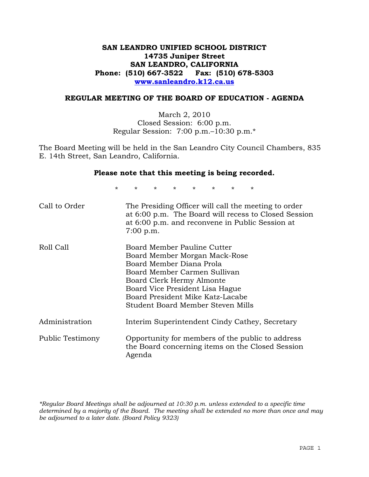## **SAN LEANDRO UNIFIED SCHOOL DISTRICT 14735 Juniper Street SAN LEANDRO, CALIFORNIA Phone: (510) 667-3522 Fax: (510) 678-5303 www.sanleandro.k12.ca.us**

#### **REGULAR MEETING OF THE BOARD OF EDUCATION - AGENDA**

March 2, 2010 Closed Session: 6:00 p.m. Regular Session: 7:00 p.m.–10:30 p.m.\*

The Board Meeting will be held in the San Leandro City Council Chambers, 835 E. 14th Street, San Leandro, California.

#### **Please note that this meeting is being recorded.**

\* \* \* \* \* \* \* \*

| Call to Order    | The Presiding Officer will call the meeting to order<br>at 6:00 p.m. The Board will recess to Closed Session<br>at 6:00 p.m. and reconvene in Public Session at<br>$7:00$ p.m.                                                                                    |
|------------------|-------------------------------------------------------------------------------------------------------------------------------------------------------------------------------------------------------------------------------------------------------------------|
| Roll Call        | Board Member Pauline Cutter<br>Board Member Morgan Mack-Rose<br>Board Member Diana Prola<br>Board Member Carmen Sullivan<br>Board Clerk Hermy Almonte<br>Board Vice President Lisa Hague<br>Board President Mike Katz-Lacabe<br>Student Board Member Steven Mills |
| Administration   | Interim Superintendent Cindy Cathey, Secretary                                                                                                                                                                                                                    |
| Public Testimony | Opportunity for members of the public to address<br>the Board concerning items on the Closed Session<br>Agenda                                                                                                                                                    |

*\*Regular Board Meetings shall be adjourned at 10:30 p.m. unless extended to a specific time determined by a majority of the Board. The meeting shall be extended no more than once and may be adjourned to a later date. (Board Policy 9323)*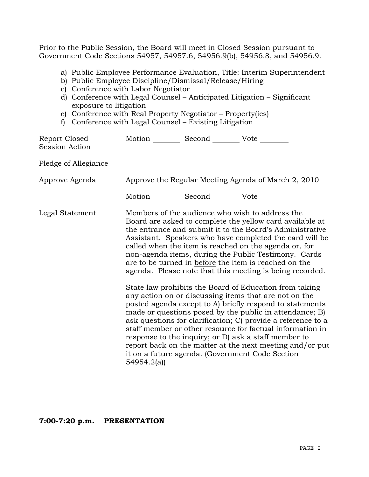Prior to the Public Session, the Board will meet in Closed Session pursuant to Government Code Sections 54957, 54957.6, 54956.9(b), 54956.8, and 54956.9.

- a) Public Employee Performance Evaluation, Title: Interim Superintendent
- b) Public Employee Discipline/Dismissal/Release/Hiring
- c) Conference with Labor Negotiator
- d) Conference with Legal Counsel Anticipated Litigation Significant exposure to litigation
- e) Conference with Real Property Negotiator Property(ies)
- f) Conference with Legal Counsel Existing Litigation

| Approve the Regular Meeting Agenda of March 2, 2010 |  |                                                                                                                                                                                                                                                                                                                                                                                                                                                                                                                                                                                                                                                                                                                                                                                                                                                                                                                                                                                                                                                                                                                                  |
|-----------------------------------------------------|--|----------------------------------------------------------------------------------------------------------------------------------------------------------------------------------------------------------------------------------------------------------------------------------------------------------------------------------------------------------------------------------------------------------------------------------------------------------------------------------------------------------------------------------------------------------------------------------------------------------------------------------------------------------------------------------------------------------------------------------------------------------------------------------------------------------------------------------------------------------------------------------------------------------------------------------------------------------------------------------------------------------------------------------------------------------------------------------------------------------------------------------|
|                                                     |  |                                                                                                                                                                                                                                                                                                                                                                                                                                                                                                                                                                                                                                                                                                                                                                                                                                                                                                                                                                                                                                                                                                                                  |
| 54954.2(a)                                          |  |                                                                                                                                                                                                                                                                                                                                                                                                                                                                                                                                                                                                                                                                                                                                                                                                                                                                                                                                                                                                                                                                                                                                  |
|                                                     |  | Motion __________ Second __________ Vote ________<br>Motion __________ Second __________ Vote ________<br>Members of the audience who wish to address the<br>Board are asked to complete the yellow card available at<br>the entrance and submit it to the Board's Administrative<br>Assistant. Speakers who have completed the card will be<br>called when the item is reached on the agenda or, for<br>non-agenda items, during the Public Testimony. Cards<br>are to be turned in before the item is reached on the<br>agenda. Please note that this meeting is being recorded.<br>State law prohibits the Board of Education from taking<br>any action on or discussing items that are not on the<br>posted agenda except to A) briefly respond to statements<br>made or questions posed by the public in attendance; B)<br>ask questions for clarification; C) provide a reference to a<br>staff member or other resource for factual information in<br>response to the inquiry; or D) ask a staff member to<br>report back on the matter at the next meeting and/or put<br>it on a future agenda. (Government Code Section |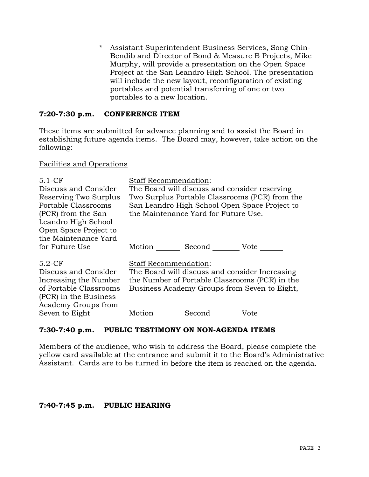\* Assistant Superintendent Business Services, Song Chin-Bendib and Director of Bond & Measure B Projects, Mike Murphy, will provide a presentation on the Open Space Project at the San Leandro High School. The presentation will include the new layout, reconfiguration of existing portables and potential transferring of one or two portables to a new location.

## **7:20-7:30 p.m. CONFERENCE ITEM**

These items are submitted for advance planning and to assist the Board in establishing future agenda items. The Board may, however, take action on the following:

## Facilities and Operations

| $5.1-CF$<br>Discuss and Consider<br>Reserving Two Surplus<br>Portable Classrooms<br>(PCR) from the San<br>Leandro High School<br>Open Space Project to<br>the Maintenance Yard | <b>Staff Recommendation:</b><br>The Board will discuss and consider reserving<br>Two Surplus Portable Classrooms (PCR) from the<br>San Leandro High School Open Space Project to<br>the Maintenance Yard for Future Use. |  |
|--------------------------------------------------------------------------------------------------------------------------------------------------------------------------------|--------------------------------------------------------------------------------------------------------------------------------------------------------------------------------------------------------------------------|--|
| for Future Use                                                                                                                                                                 | Second _______ Vote _____<br>Motion                                                                                                                                                                                      |  |
| $5.2-CF$<br>Discuss and Consider<br>Increasing the Number<br>of Portable Classrooms<br>(PCR) in the Business<br>Academy Groups from<br>Seven to Eight                          | Staff Recommendation:<br>The Board will discuss and consider Increasing<br>the Number of Portable Classrooms (PCR) in the<br>Business Academy Groups from Seven to Eight,<br>Motion<br>Second Vote                       |  |

## **7:30-7:40 p.m. PUBLIC TESTIMONY ON NON-AGENDA ITEMS**

Members of the audience, who wish to address the Board, please complete the yellow card available at the entrance and submit it to the Board's Administrative Assistant. Cards are to be turned in before the item is reached on the agenda.

#### **7:40-7:45 p.m. PUBLIC HEARING**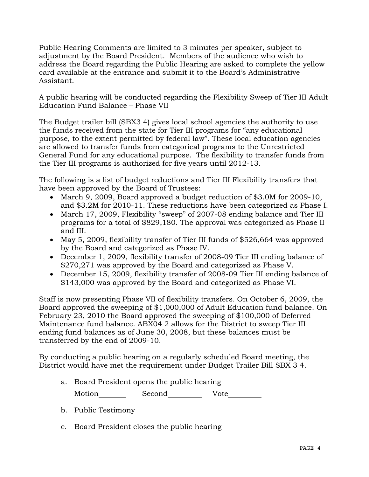Public Hearing Comments are limited to 3 minutes per speaker, subject to adjustment by the Board President. Members of the audience who wish to address the Board regarding the Public Hearing are asked to complete the yellow card available at the entrance and submit it to the Board's Administrative Assistant.

A public hearing will be conducted regarding the Flexibility Sweep of Tier III Adult Education Fund Balance – Phase VII

The Budget trailer bill (SBX3 4) gives local school agencies the authority to use the funds received from the state for Tier III programs for "any educational purpose, to the extent permitted by federal law". These local education agencies are allowed to transfer funds from categorical programs to the Unrestricted General Fund for any educational purpose. The flexibility to transfer funds from the Tier III programs is authorized for five years until 2012-13.

The following is a list of budget reductions and Tier III Flexibility transfers that have been approved by the Board of Trustees:

- March 9, 2009, Board approved a budget reduction of \$3.0M for 2009-10, and \$3.2M for 2010-11. These reductions have been categorized as Phase I.
- March 17, 2009, Flexibility "sweep" of 2007-08 ending balance and Tier III programs for a total of \$829,180. The approval was categorized as Phase II and III.
- May 5, 2009, flexibility transfer of Tier III funds of \$526,664 was approved by the Board and categorized as Phase IV.
- December 1, 2009, flexibility transfer of 2008-09 Tier III ending balance of \$270,271 was approved by the Board and categorized as Phase V.
- December 15, 2009, flexibility transfer of 2008-09 Tier III ending balance of \$143,000 was approved by the Board and categorized as Phase VI.

Staff is now presenting Phase VII of flexibility transfers*.* On October 6, 2009, the Board approved the sweeping of \$1,000,000 of Adult Education fund balance. On February 23, 2010 the Board approved the sweeping of \$100,000 of Deferred Maintenance fund balance. ABX04 2 allows for the District to sweep Tier III ending fund balances as of June 30, 2008, but these balances must be transferred by the end of 2009-10.

By conducting a public hearing on a regularly scheduled Board meeting, the District would have met the requirement under Budget Trailer Bill SBX 3 4.

a. Board President opens the public hearing

Motion Second Vote

- b. Public Testimony
- c. Board President closes the public hearing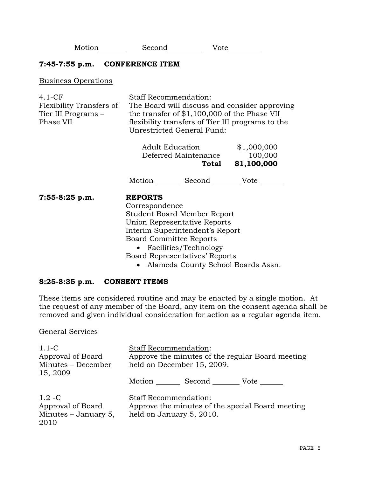Motion Second Vote

### **7:45-7:55 p.m. CONFERENCE ITEM**

Business Operations

| $4.1 - CF$<br>Flexibility Transfers of<br>Tier III Programs –<br>Phase VII | Staff Recommendation:<br>The Board will discuss and consider approving<br>the transfer of $$1,100,000$ of the Phase VII<br>flexibility transfers of Tier III programs to the<br>Unrestricted General Fund:                                                                              |                                       |  |
|----------------------------------------------------------------------------|-----------------------------------------------------------------------------------------------------------------------------------------------------------------------------------------------------------------------------------------------------------------------------------------|---------------------------------------|--|
|                                                                            | <b>Adult Education</b><br>Deferred Maintenance<br>Total                                                                                                                                                                                                                                 | \$1,000,000<br>100,000<br>\$1,100,000 |  |
|                                                                            | Motion _________ Second __________ Vote _____                                                                                                                                                                                                                                           |                                       |  |
| $7:55-8:25 p.m.$                                                           | <b>REPORTS</b><br>Correspondence<br><b>Student Board Member Report</b><br>Union Representative Reports<br>Interim Superintendent's Report<br><b>Board Committee Reports</b><br>• Facilities/Technology<br>Board Representatives' Reports<br>$\lambda$ 1 $\alpha$ $\lambda$ 1 1 $\alpha$ |                                       |  |

• Alameda County School Boards Assn.

#### **8:25-8:35 p.m. CONSENT ITEMS**

These items are considered routine and may be enacted by a single motion. At the request of any member of the Board, any item on the consent agenda shall be removed and given individual consideration for action as a regular agenda item.

#### General Services

| $1.1-C$<br>Approval of Board<br>Minutes - December<br>15, 2009   | <b>Staff Recommendation:</b><br>Approve the minutes of the regular Board meeting<br>held on December 15, 2009. |  |
|------------------------------------------------------------------|----------------------------------------------------------------------------------------------------------------|--|
|                                                                  | Motion<br>Second<br>Vote                                                                                       |  |
| $1.2 - C$<br>Approval of Board<br>Minutes $-$ January 5,<br>2010 | <b>Staff Recommendation:</b><br>Approve the minutes of the special Board meeting<br>held on January 5, 2010.   |  |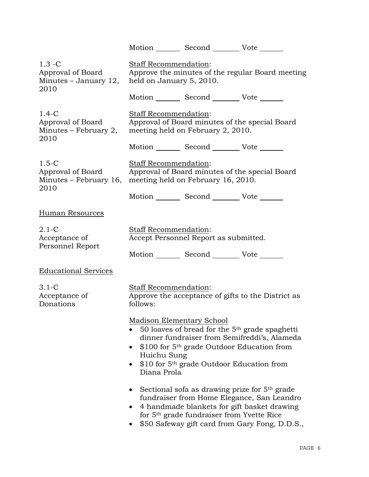|                                                                   |                                                                                                                                                                                                                                                                                             | Motion Second Vote                                          |                                                                                                                                                                                                          |  |
|-------------------------------------------------------------------|---------------------------------------------------------------------------------------------------------------------------------------------------------------------------------------------------------------------------------------------------------------------------------------------|-------------------------------------------------------------|----------------------------------------------------------------------------------------------------------------------------------------------------------------------------------------------------------|--|
| $1.3 - C$<br>Approval of Board<br>Minutes $-$ January 12,<br>2010 | Staff Recommendation:<br>Approve the minutes of the regular Board meeting<br>held on January 5, 2010.                                                                                                                                                                                       |                                                             |                                                                                                                                                                                                          |  |
|                                                                   |                                                                                                                                                                                                                                                                                             | Motion Second Vote                                          |                                                                                                                                                                                                          |  |
| $1.4-C$<br>Approval of Board<br>Minutes – February 2,<br>2010     | Staff Recommendation:<br>Approval of Board minutes of the special Board<br>meeting held on February 2, 2010.                                                                                                                                                                                |                                                             |                                                                                                                                                                                                          |  |
|                                                                   |                                                                                                                                                                                                                                                                                             | Motion Second Vote                                          |                                                                                                                                                                                                          |  |
| $1.5-C$<br>Approval of Board<br>2010                              | <b>Staff Recommendation:</b><br>Approval of Board minutes of the special Board<br>Minutes – February 16, meeting held on February 16, 2010.                                                                                                                                                 |                                                             |                                                                                                                                                                                                          |  |
|                                                                   |                                                                                                                                                                                                                                                                                             | Motion Second Vote                                          |                                                                                                                                                                                                          |  |
| Human Resources                                                   |                                                                                                                                                                                                                                                                                             |                                                             |                                                                                                                                                                                                          |  |
| $2.1-C$<br>Acceptance of<br>Personnel Report                      | <b>Staff Recommendation:</b>                                                                                                                                                                                                                                                                | Accept Personnel Report as submitted.<br>Motion Second Vote |                                                                                                                                                                                                          |  |
| <b>Educational Services</b>                                       |                                                                                                                                                                                                                                                                                             |                                                             |                                                                                                                                                                                                          |  |
| $3.1-C$<br>Acceptance of<br>Donations                             | Staff Recommendation:<br>follows:                                                                                                                                                                                                                                                           |                                                             | Approve the acceptance of gifts to the District as                                                                                                                                                       |  |
|                                                                   | Madison Elementary School<br>50 loaves of bread for the $5th$ grade spaghetti<br>dinner fundraiser from Semifreddi's, Alameda<br>\$100 for 5 <sup>th</sup> grade Outdoor Education from<br>Huichu Sung<br>\$10 for 5 <sup>th</sup> grade Outdoor Education from<br>$\bullet$<br>Diana Prola |                                                             |                                                                                                                                                                                                          |  |
|                                                                   | $\bullet$<br>$\bullet$                                                                                                                                                                                                                                                                      | for 5 <sup>th</sup> grade fundraiser from Yvette Rice       | Sectional sofa as drawing prize for 5 <sup>th</sup> grade<br>fundraiser from Home Elegance, San Leandro<br>4 handmade blankets for gift basket drawing<br>\$50 Safeway gift card from Gary Fong, D.D.S., |  |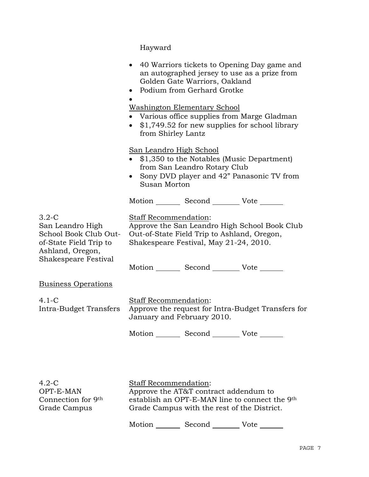Hayward

|                                                                                                                            | • 40 Warriors tickets to Opening Day game and<br>an autographed jersey to use as a prize from<br>Golden Gate Warriors, Oakland<br>Podium from Gerhard Grotke<br>$\bullet$<br><b>Washington Elementary School</b><br>• Various office supplies from Marge Gladman<br>$\bullet$ \$1,749.52 for new supplies for school library<br>from Shirley Lantz<br>San Leandro High School<br>• \$1,350 to the Notables (Music Department)<br>from San Leandro Rotary Club<br>• Sony DVD player and 42" Panasonic TV from<br>Susan Morton |  |
|----------------------------------------------------------------------------------------------------------------------------|------------------------------------------------------------------------------------------------------------------------------------------------------------------------------------------------------------------------------------------------------------------------------------------------------------------------------------------------------------------------------------------------------------------------------------------------------------------------------------------------------------------------------|--|
|                                                                                                                            | Motion _________ Second __________ Vote _______                                                                                                                                                                                                                                                                                                                                                                                                                                                                              |  |
| $3.2-C$<br>San Leandro High<br>School Book Club Out-<br>of-State Field Trip to<br>Ashland, Oregon,<br>Shakespeare Festival | Staff Recommendation:<br>Approve the San Leandro High School Book Club<br>Out-of-State Field Trip to Ashland, Oregon,<br>Shakespeare Festival, May 21-24, 2010.                                                                                                                                                                                                                                                                                                                                                              |  |
|                                                                                                                            | Motion _________ Second __________ Vote _______                                                                                                                                                                                                                                                                                                                                                                                                                                                                              |  |
| <b>Business Operations</b>                                                                                                 |                                                                                                                                                                                                                                                                                                                                                                                                                                                                                                                              |  |
| $4.1-C$<br>Intra-Budget Transfers                                                                                          | Staff Recommendation:<br>Approve the request for Intra-Budget Transfers for<br>January and February 2010.                                                                                                                                                                                                                                                                                                                                                                                                                    |  |
|                                                                                                                            | Motion Second Vote                                                                                                                                                                                                                                                                                                                                                                                                                                                                                                           |  |
| $4.2-C$<br>OPT-E-MAN<br>Connection for 9th<br>Grade Campus                                                                 | Staff Recommendation:<br>Approve the AT&T contract addendum to<br>establish an OPT-E-MAN line to connect the 9th<br>Grade Campus with the rest of the District.                                                                                                                                                                                                                                                                                                                                                              |  |

Grade Campus with the rest of the District.

Motion \_\_\_\_\_\_\_\_ Second \_\_\_\_\_\_\_\_\_ Vote \_\_\_\_\_\_\_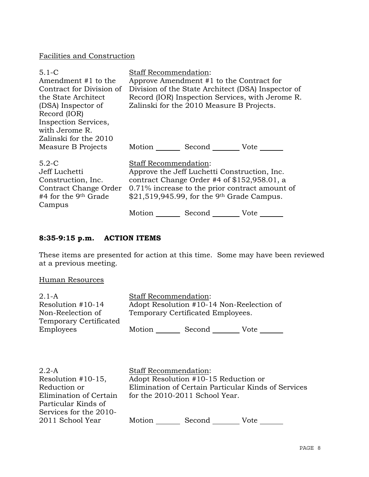## Facilities and Construction

| $5.1 - C$<br>Amendment #1 to the<br>Contract for Division of<br>the State Architect<br>(DSA) Inspector of<br>Record (IOR)<br>Inspection Services,<br>with Jerome R.<br>Zalinski for the 2010 | Staff Recommendation: | Approve Amendment #1 to the Contract for<br>Zalinski for the 2010 Measure B Projects.                                                                     | Division of the State Architect (DSA) Inspector of<br>Record (IOR) Inspection Services, with Jerome R. |
|----------------------------------------------------------------------------------------------------------------------------------------------------------------------------------------------|-----------------------|-----------------------------------------------------------------------------------------------------------------------------------------------------------|--------------------------------------------------------------------------------------------------------|
| Measure B Projects                                                                                                                                                                           | Motion                | Second Vote                                                                                                                                               |                                                                                                        |
| $5.2-C$<br>Jeff Luchetti<br>Construction, Inc.<br>Contract Change Order<br>#4 for the 9 <sup>th</sup> Grade<br>Campus                                                                        | Staff Recommendation: | Approve the Jeff Luchetti Construction, Inc.<br>contract Change Order #4 of $$152,958.01$ , a<br>$$21,519,945.99$ , for the 9 <sup>th</sup> Grade Campus. | 0.71% increase to the prior contract amount of                                                         |
|                                                                                                                                                                                              | Motion                | Second                                                                                                                                                    | Vote                                                                                                   |

# **8:35-9:15 p.m. ACTION ITEMS**

These items are presented for action at this time. Some may have been reviewed at a previous meeting.

## Human Resources

| $2.1 - A$<br>Resolution #10-14<br>Non-Reelection of<br>Temporary Certificated | <b>Staff Recommendation:</b><br>Adopt Resolution #10-14 Non-Reelection of<br>Temporary Certificated Employees. |  |  |
|-------------------------------------------------------------------------------|----------------------------------------------------------------------------------------------------------------|--|--|
| Employees                                                                     | Motion<br>Second<br>Vote                                                                                       |  |  |
|                                                                               |                                                                                                                |  |  |
| $\cap$ $\cap$ $\wedge$                                                        | $Q_{\text{tot}}$ ff Doommondation                                                                              |  |  |

| $2.2-A$<br>Resolution $#10-15$ , | <b>Staff Recommendation:</b> | Adopt Resolution #10-15 Reduction or |                                                     |
|----------------------------------|------------------------------|--------------------------------------|-----------------------------------------------------|
| Reduction or                     |                              |                                      | Elimination of Certain Particular Kinds of Services |
| Elimination of Certain           |                              | for the 2010-2011 School Year.       |                                                     |
| Particular Kinds of              |                              |                                      |                                                     |
| Services for the 2010-           |                              |                                      |                                                     |
| 2011 School Year                 | Motion                       | Second                               | Vote                                                |
|                                  |                              |                                      |                                                     |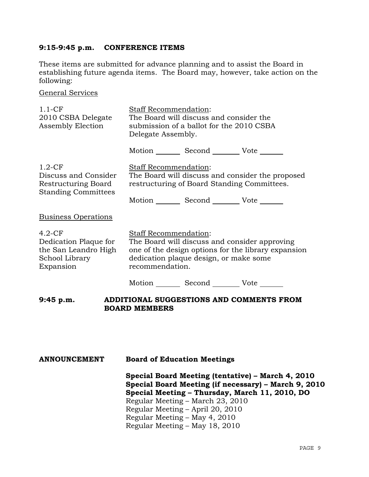### **9:15-9:45 p.m. CONFERENCE ITEMS**

These items are submitted for advance planning and to assist the Board in establishing future agenda items. The Board may, however, take action on the following:

General Services

| $1.1 - CF$<br>2010 CSBA Delegate<br>Assembly Election                                    | <b>Staff Recommendation:</b><br>The Board will discuss and consider the<br>submission of a ballot for the 2010 CSBA<br>Delegate Assembly.                                                  |  |  |
|------------------------------------------------------------------------------------------|--------------------------------------------------------------------------------------------------------------------------------------------------------------------------------------------|--|--|
|                                                                                          | Motion Second Vote                                                                                                                                                                         |  |  |
| $1.2$ -CF<br>Discuss and Consider<br>Restructuring Board<br><b>Standing Committees</b>   | Staff Recommendation:<br>The Board will discuss and consider the proposed<br>restructuring of Board Standing Committees.<br>Motion Second Vote ______                                      |  |  |
| <b>Business Operations</b>                                                               |                                                                                                                                                                                            |  |  |
| $4.2-CF$<br>Dedication Plaque for<br>the San Leandro High<br>School Library<br>Expansion | Staff Recommendation:<br>The Board will discuss and consider approving<br>one of the design options for the library expansion<br>dedication plaque design, or make some<br>recommendation. |  |  |
|                                                                                          | Motion Second Vote                                                                                                                                                                         |  |  |
| 9:45 p.m.                                                                                | ADDITIONAL SUGGESTIONS AND COMMENTS FROM<br><b>BOARD MEMBERS</b>                                                                                                                           |  |  |

## **ANNOUNCEMENT Board of Education Meetings**

**Special Board Meeting (tentative) – March 4, 2010 Special Board Meeting (if necessary) – March 9, 2010 Special Meeting – Thursday, March 11, 2010, DO** Regular Meeting – March 23, 2010 Regular Meeting – April 20, 2010 Regular Meeting – May 4, 2010 Regular Meeting – May 18, 2010